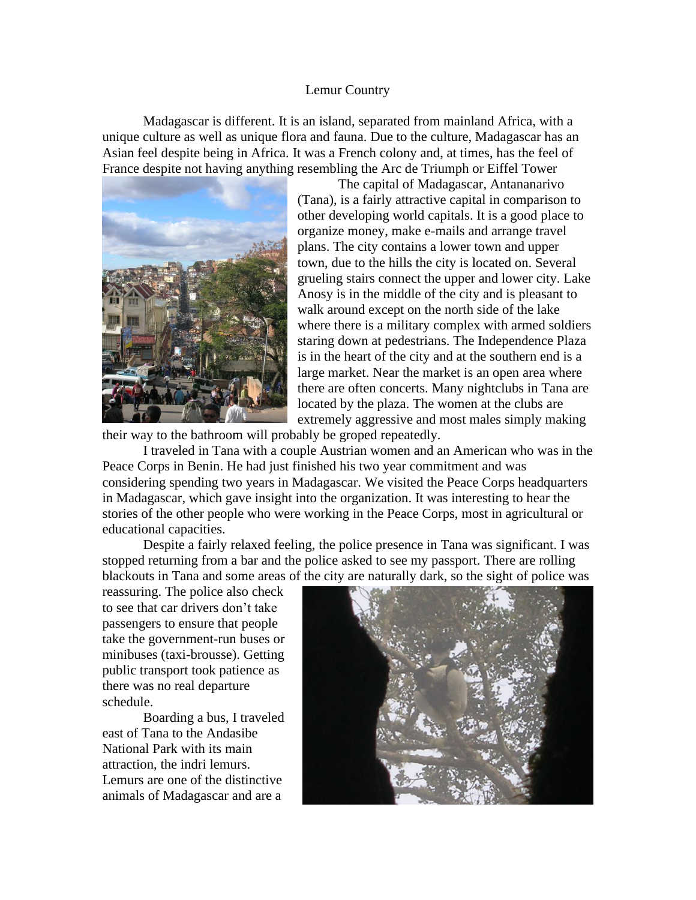## Lemur Country

Madagascar is different. It is an island, separated from mainland Africa, with a unique culture as well as unique flora and fauna. Due to the culture, Madagascar has an Asian feel despite being in Africa. It was a French colony and, at times, has the feel of France despite not having anything resembling the Arc de Triumph or Eiffel Tower



The capital of Madagascar, Antananarivo (Tana), is a fairly attractive capital in comparison to other developing world capitals. It is a good place to organize money, make e-mails and arrange travel plans. The city contains a lower town and upper town, due to the hills the city is located on. Several grueling stairs connect the upper and lower city. Lake Anosy is in the middle of the city and is pleasant to walk around except on the north side of the lake where there is a military complex with armed soldiers staring down at pedestrians. The Independence Plaza is in the heart of the city and at the southern end is a large market. Near the market is an open area where there are often concerts. Many nightclubs in Tana are located by the plaza. The women at the clubs are extremely aggressive and most males simply making

their way to the bathroom will probably be groped repeatedly.

I traveled in Tana with a couple Austrian women and an American who was in the Peace Corps in Benin. He had just finished his two year commitment and was considering spending two years in Madagascar. We visited the Peace Corps headquarters in Madagascar, which gave insight into the organization. It was interesting to hear the stories of the other people who were working in the Peace Corps, most in agricultural or educational capacities.

Despite a fairly relaxed feeling, the police presence in Tana was significant. I was stopped returning from a bar and the police asked to see my passport. There are rolling blackouts in Tana and some areas of the city are naturally dark, so the sight of police was

reassuring. The police also check to see that car drivers don't take passengers to ensure that people take the government-run buses or minibuses (taxi-brousse). Getting public transport took patience as there was no real departure schedule.

Boarding a bus, I traveled east of Tana to the Andasibe National Park with its main attraction, the indri lemurs. Lemurs are one of the distinctive animals of Madagascar and are a

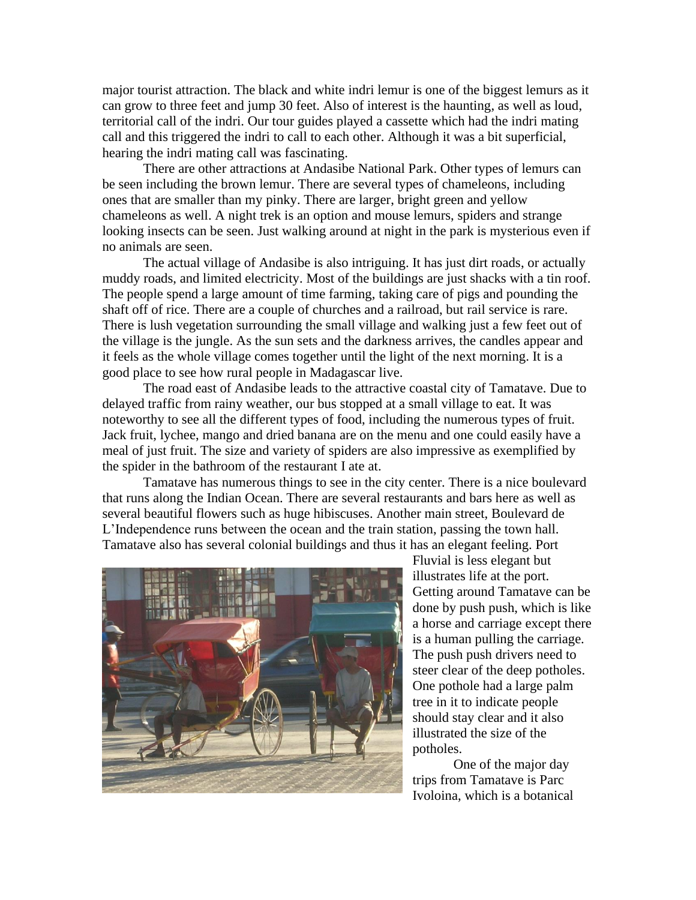major tourist attraction. The black and white indri lemur is one of the biggest lemurs as it can grow to three feet and jump 30 feet. Also of interest is the haunting, as well as loud, territorial call of the indri. Our tour guides played a cassette which had the indri mating call and this triggered the indri to call to each other. Although it was a bit superficial, hearing the indri mating call was fascinating.

There are other attractions at Andasibe National Park. Other types of lemurs can be seen including the brown lemur. There are several types of chameleons, including ones that are smaller than my pinky. There are larger, bright green and yellow chameleons as well. A night trek is an option and mouse lemurs, spiders and strange looking insects can be seen. Just walking around at night in the park is mysterious even if no animals are seen.

The actual village of Andasibe is also intriguing. It has just dirt roads, or actually muddy roads, and limited electricity. Most of the buildings are just shacks with a tin roof. The people spend a large amount of time farming, taking care of pigs and pounding the shaft off of rice. There are a couple of churches and a railroad, but rail service is rare. There is lush vegetation surrounding the small village and walking just a few feet out of the village is the jungle. As the sun sets and the darkness arrives, the candles appear and it feels as the whole village comes together until the light of the next morning. It is a good place to see how rural people in Madagascar live.

The road east of Andasibe leads to the attractive coastal city of Tamatave. Due to delayed traffic from rainy weather, our bus stopped at a small village to eat. It was noteworthy to see all the different types of food, including the numerous types of fruit. Jack fruit, lychee, mango and dried banana are on the menu and one could easily have a meal of just fruit. The size and variety of spiders are also impressive as exemplified by the spider in the bathroom of the restaurant I ate at.

Tamatave has numerous things to see in the city center. There is a nice boulevard that runs along the Indian Ocean. There are several restaurants and bars here as well as several beautiful flowers such as huge hibiscuses. Another main street, Boulevard de L'Independence runs between the ocean and the train station, passing the town hall. Tamatave also has several colonial buildings and thus it has an elegant feeling. Port



Fluvial is less elegant but illustrates life at the port. Getting around Tamatave can be done by push push, which is like a horse and carriage except there is a human pulling the carriage. The push push drivers need to steer clear of the deep potholes. One pothole had a large palm tree in it to indicate people should stay clear and it also illustrated the size of the potholes.

One of the major day trips from Tamatave is Parc Ivoloina, which is a botanical